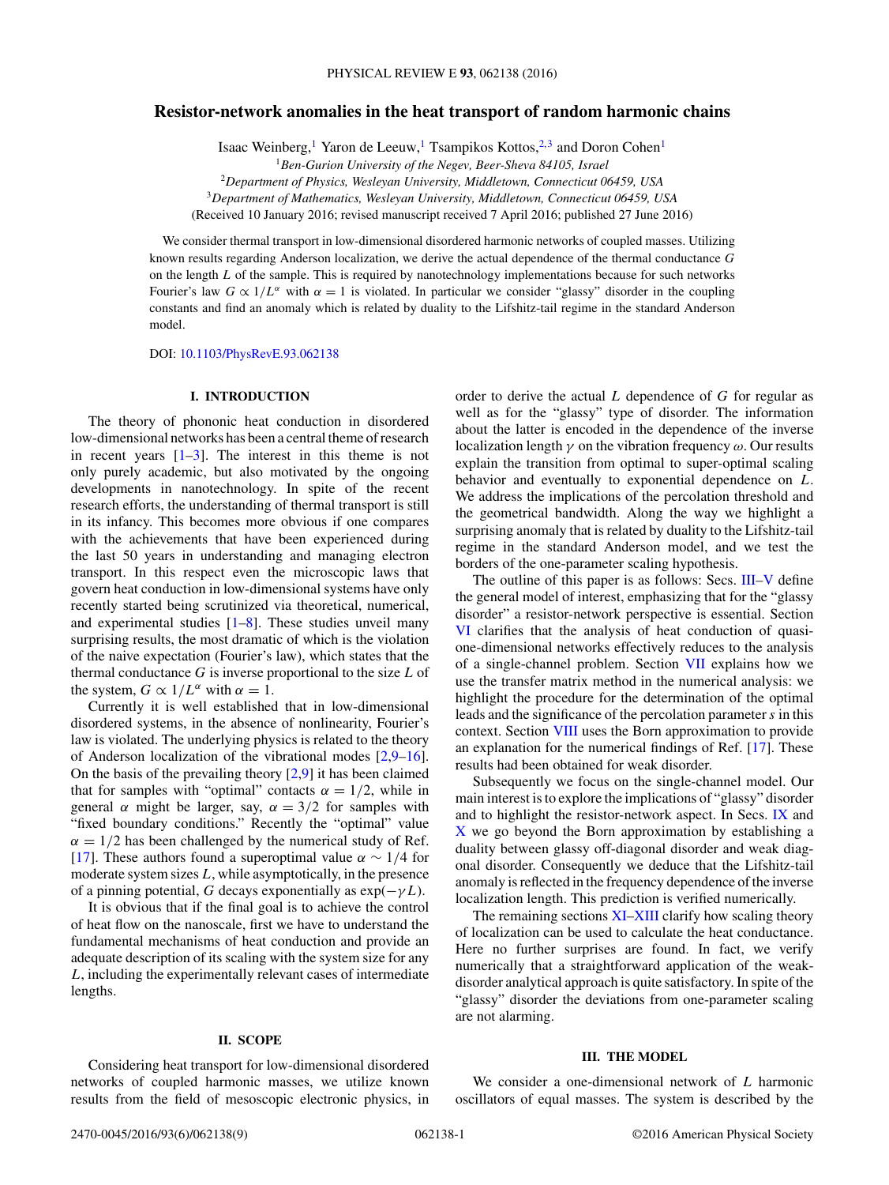# **Resistor-network anomalies in the heat transport of random harmonic chains**

Isaac Weinberg,<sup>1</sup> Yaron de Leeuw,<sup>1</sup> Tsampikos Kottos,<sup>2,3</sup> and Doron Cohen<sup>1</sup>

<sup>1</sup>*Ben-Gurion University of the Negev, Beer-Sheva 84105, Israel*

<sup>2</sup>*Department of Physics, Wesleyan University, Middletown, Connecticut 06459, USA*

<sup>3</sup>*Department of Mathematics, Wesleyan University, Middletown, Connecticut 06459, USA*

(Received 10 January 2016; revised manuscript received 7 April 2016; published 27 June 2016)

We consider thermal transport in low-dimensional disordered harmonic networks of coupled masses. Utilizing known results regarding Anderson localization, we derive the actual dependence of the thermal conductance *G* on the length *L* of the sample. This is required by nanotechnology implementations because for such networks Fourier's law  $G \propto 1/L^{\alpha}$  with  $\alpha = 1$  is violated. In particular we consider "glassy" disorder in the coupling constants and find an anomaly which is related by duality to the Lifshitz-tail regime in the standard Anderson model.

DOI: [10.1103/PhysRevE.93.062138](http://dx.doi.org/10.1103/PhysRevE.93.062138)

# **I. INTRODUCTION**

The theory of phononic heat conduction in disordered low-dimensional networks has been a central theme of research in recent years  $[1-3]$ . The interest in this theme is not only purely academic, but also motivated by the ongoing developments in nanotechnology. In spite of the recent research efforts, the understanding of thermal transport is still in its infancy. This becomes more obvious if one compares with the achievements that have been experienced during the last 50 years in understanding and managing electron transport. In this respect even the microscopic laws that govern heat conduction in low-dimensional systems have only recently started being scrutinized via theoretical, numerical, and experimental studies [\[1–8\]](#page-7-0). These studies unveil many surprising results, the most dramatic of which is the violation of the naive expectation (Fourier's law), which states that the thermal conductance *G* is inverse proportional to the size *L* of the system,  $G \propto 1/L^{\alpha}$  with  $\alpha = 1$ .

Currently it is well established that in low-dimensional disordered systems, in the absence of nonlinearity, Fourier's law is violated. The underlying physics is related to the theory of Anderson localization of the vibrational modes [\[2,9–16\]](#page-7-0). On the basis of the prevailing theory  $[2,9]$  it has been claimed that for samples with "optimal" contacts  $\alpha = 1/2$ , while in general  $\alpha$  might be larger, say,  $\alpha = 3/2$  for samples with "fixed boundary conditions." Recently the "optimal" value  $\alpha = 1/2$  has been challenged by the numerical study of Ref. [\[17\]](#page-7-0). These authors found a superoptimal value  $\alpha \sim 1/4$  for moderate system sizes *L*, while asymptotically, in the presence of a pinning potential, *G* decays exponentially as  $exp(-\gamma L)$ .

It is obvious that if the final goal is to achieve the control of heat flow on the nanoscale, first we have to understand the fundamental mechanisms of heat conduction and provide an adequate description of its scaling with the system size for any *L*, including the experimentally relevant cases of intermediate lengths.

# **II. SCOPE**

Considering heat transport for low-dimensional disordered networks of coupled harmonic masses, we utilize known results from the field of mesoscopic electronic physics, in order to derive the actual *L* dependence of *G* for regular as well as for the "glassy" type of disorder. The information about the latter is encoded in the dependence of the inverse localization length *γ* on the vibration frequency *ω*. Our results explain the transition from optimal to super-optimal scaling behavior and eventually to exponential dependence on *L*. We address the implications of the percolation threshold and the geometrical bandwidth. Along the way we highlight a surprising anomaly that is related by duality to the Lifshitz-tail regime in the standard Anderson model, and we test the borders of the one-parameter scaling hypothesis.

The outline of this paper is as follows: Secs. III[–V](#page-1-0) define the general model of interest, emphasizing that for the "glassy disorder" a resistor-network perspective is essential. Section [VI](#page-1-0) clarifies that the analysis of heat conduction of quasione-dimensional networks effectively reduces to the analysis of a single-channel problem. Section [VII](#page-2-0) explains how we use the transfer matrix method in the numerical analysis: we highlight the procedure for the determination of the optimal leads and the significance of the percolation parameter*s* in this context. Section [VIII](#page-3-0) uses the Born approximation to provide an explanation for the numerical findings of Ref. [\[17\]](#page-7-0). These results had been obtained for weak disorder.

Subsequently we focus on the single-channel model. Our main interest is to explore the implications of "glassy" disorder and to highlight the resistor-network aspect. In Secs. [IX](#page-3-0) and [X](#page-3-0) we go beyond the Born approximation by establishing a duality between glassy off-diagonal disorder and weak diagonal disorder. Consequently we deduce that the Lifshitz-tail anomaly is reflected in the frequency dependence of the inverse localization length. This prediction is verified numerically.

The remaining sections [XI–](#page-5-0)[XIII](#page-6-0) clarify how scaling theory of localization can be used to calculate the heat conductance. Here no further surprises are found. In fact, we verify numerically that a straightforward application of the weakdisorder analytical approach is quite satisfactory. In spite of the "glassy" disorder the deviations from one-parameter scaling are not alarming.

# **III. THE MODEL**

We consider a one-dimensional network of *L* harmonic oscillators of equal masses. The system is described by the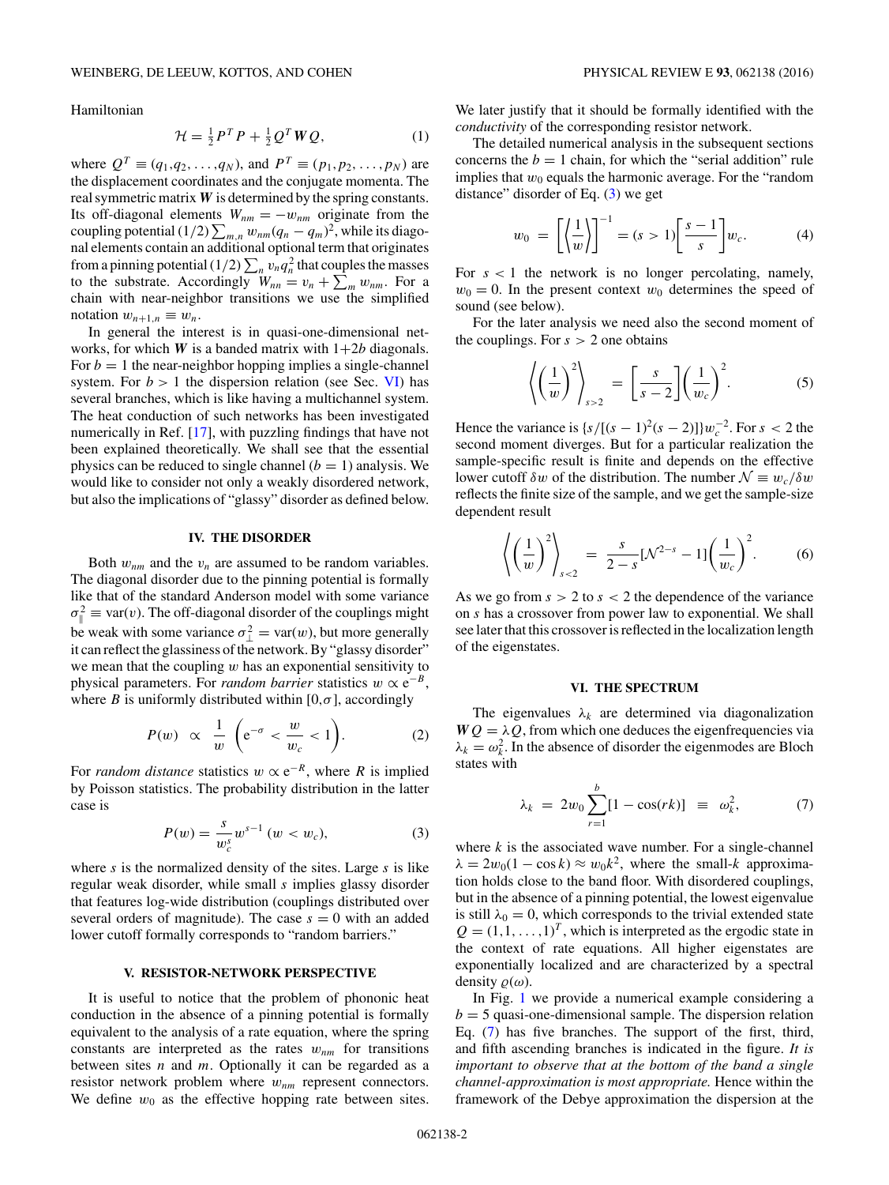<span id="page-1-0"></span>Hamiltonian

$$
\mathcal{H} = \frac{1}{2}P^T P + \frac{1}{2}Q^T W Q, \qquad (1)
$$

where  $Q^T \equiv (q_1, q_2, \dots, q_N)$ , and  $P^T \equiv (p_1, p_2, \dots, p_N)$  are the displacement coordinates and the conjugate momenta. The real symmetric matrix *W* is determined by the spring constants. Its off-diagonal elements  $W_{nm} = -w_{nm}$  originate from the coupling potential (1/2)  $\sum_{m,n} w_{nm}(q_n - q_m)^2$ , while its diagonal elements contain an additional optional term that originates from a pinning potential  $(1/2) \sum_{n} v_n q_n^2$  that couples the masses to the substrate. Accordingly  $W_{nn} = v_n + \sum_m w_{nm}$ . For a chain with near-neighbor transitions we use the simplified notation  $w_{n+1,n} \equiv w_n$ .

In general the interest is in quasi-one-dimensional networks, for which  $W$  is a banded matrix with  $1+2b$  diagonals. For  $b = 1$  the near-neighbor hopping implies a single-channel system. For  $b > 1$  the dispersion relation (see Sec. VI) has several branches, which is like having a multichannel system. The heat conduction of such networks has been investigated numerically in Ref. [\[17\]](#page-7-0), with puzzling findings that have not been explained theoretically. We shall see that the essential physics can be reduced to single channel  $(b = 1)$  analysis. We would like to consider not only a weakly disordered network, but also the implications of "glassy" disorder as defined below.

#### **IV. THE DISORDER**

Both  $w_{nm}$  and the  $v_n$  are assumed to be random variables. The diagonal disorder due to the pinning potential is formally like that of the standard Anderson model with some variance  $\sigma_{\parallel}^2 \equiv \text{var}(v)$ . The off-diagonal disorder of the couplings might be weak with some variance  $\sigma_{\perp}^2 = \text{var}(w)$ , but more generally it can reflect the glassiness of the network. By "glassy disorder" we mean that the coupling *w* has an exponential sensitivity to physical parameters. For *random barrier* statistics  $w \propto e^{-B}$ , where *B* is uniformly distributed within  $[0, \sigma]$ , accordingly

$$
P(w) \propto \frac{1}{w} \left( e^{-\sigma} < \frac{w}{w_c} < 1 \right). \tag{2}
$$

For *random distance* statistics  $w \propto e^{-R}$ , where *R* is implied by Poisson statistics. The probability distribution in the latter case is

$$
P(w) = \frac{s}{w_c^s} w^{s-1} \ (w < w_c), \tag{3}
$$

where *s* is the normalized density of the sites. Large *s* is like regular weak disorder, while small *s* implies glassy disorder that features log-wide distribution (couplings distributed over several orders of magnitude). The case  $s = 0$  with an added lower cutoff formally corresponds to "random barriers."

## **V. RESISTOR-NETWORK PERSPECTIVE**

It is useful to notice that the problem of phononic heat conduction in the absence of a pinning potential is formally equivalent to the analysis of a rate equation, where the spring constants are interpreted as the rates  $w_{nm}$  for transitions between sites *n* and *m*. Optionally it can be regarded as a resistor network problem where  $w_{nm}$  represent connectors. We define  $w_0$  as the effective hopping rate between sites.

We later justify that it should be formally identified with the *conductivity* of the corresponding resistor network.

The detailed numerical analysis in the subsequent sections concerns the  $b = 1$  chain, for which the "serial addition" rule implies that  $w_0$  equals the harmonic average. For the "random" distance" disorder of Eq.  $(3)$  we get

$$
w_0 = \left[ \left\langle \frac{1}{w} \right\rangle \right]^{-1} = (s > 1) \left[ \frac{s-1}{s} \right] w_c.
$$
 (4)

For  $s < 1$  the network is no longer percolating, namely,  $w_0 = 0$ . In the present context  $w_0$  determines the speed of sound (see below).

For the later analysis we need also the second moment of the couplings. For  $s > 2$  one obtains

$$
\left\langle \left(\frac{1}{w}\right)^2 \right\rangle_{s>2} = \left[\frac{s}{s-2}\right] \left(\frac{1}{w_c}\right)^2. \tag{5}
$$

Hence the variance is  $\{s/[((s-1)^2(s-2)]\}w_c^{-2}$ . For  $s < 2$  the second moment diverges. But for a particular realization the sample-specific result is finite and depends on the effective lower cutoff  $\delta w$  of the distribution. The number  $\mathcal{N} \equiv w_c/\delta w$ reflects the finite size of the sample, and we get the sample-size dependent result

$$
\left\langle \left(\frac{1}{w}\right)^2 \right\rangle_{s<2} = \frac{s}{2-s} [N^{2-s} - 1] \left(\frac{1}{w_c}\right)^2.
$$
 (6)

As we go from *s >* 2 to *s <* 2 the dependence of the variance on *s* has a crossover from power law to exponential. We shall see later that this crossover is reflected in the localization length of the eigenstates.

## **VI. THE SPECTRUM**

The eigenvalues  $\lambda_k$  are determined via diagonalization  $WQ = \lambda Q$ , from which one deduces the eigenfrequencies via  $\lambda_k = \omega_k^2$ . In the absence of disorder the eigenmodes are Bloch states with

$$
\lambda_k = 2w_0 \sum_{r=1}^b [1 - \cos(rk)] \equiv \omega_k^2, \qquad (7)
$$

where  $k$  is the associated wave number. For a single-channel  $\lambda = 2w_0(1 - \cos k) \approx w_0 k^2$ , where the small-*k* approximation holds close to the band floor. With disordered couplings, but in the absence of a pinning potential, the lowest eigenvalue is still  $\lambda_0 = 0$ , which corresponds to the trivial extended state  $Q = (1, 1, \ldots, 1)^T$ , which is interpreted as the ergodic state in the context of rate equations. All higher eigenstates are exponentially localized and are characterized by a spectral density  $\rho(\omega)$ .

In Fig. [1](#page-2-0) we provide a numerical example considering a  $b = 5$  quasi-one-dimensional sample. The dispersion relation Eq. (7) has five branches. The support of the first, third, and fifth ascending branches is indicated in the figure. *It is important to observe that at the bottom of the band a single channel-approximation is most appropriate.* Hence within the framework of the Debye approximation the dispersion at the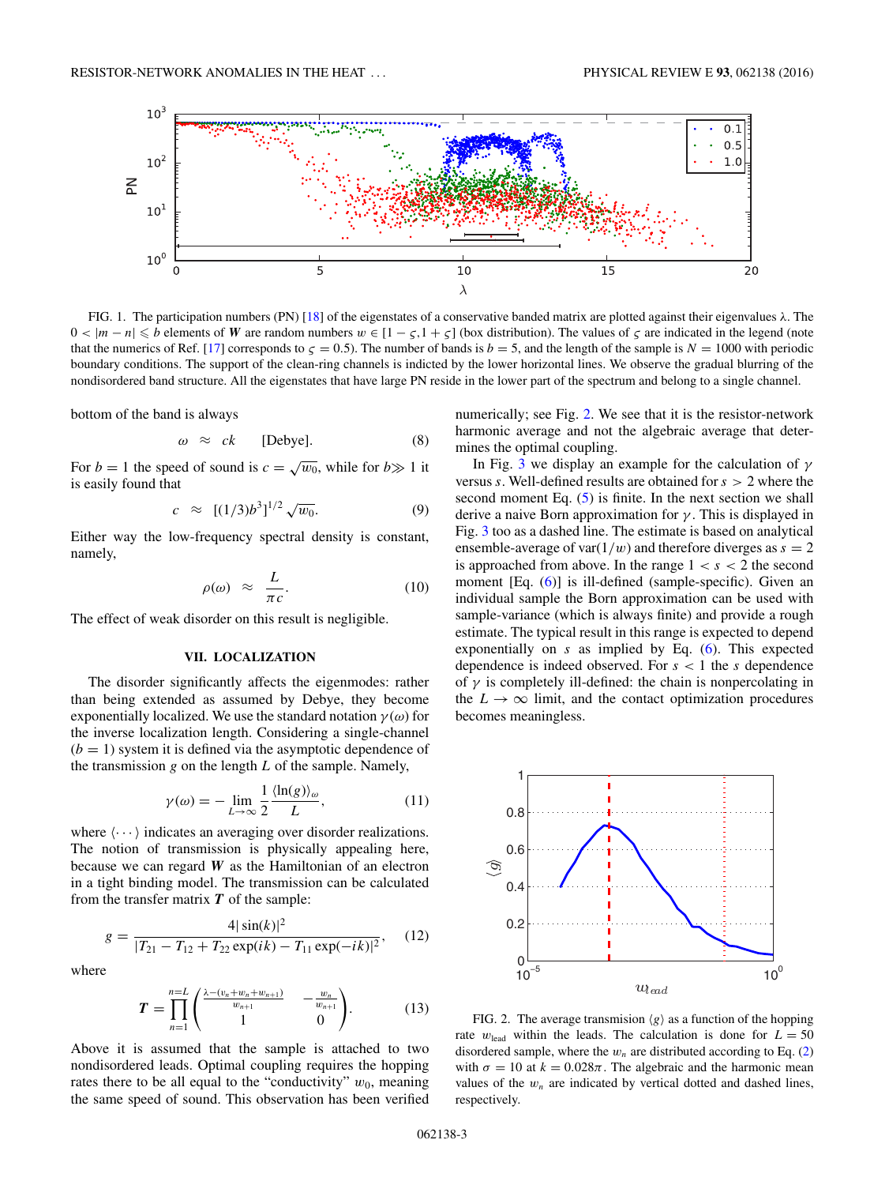<span id="page-2-0"></span>

FIG. 1. The participation numbers (PN) [\[18\]](#page-7-0) of the eigenstates of a conservative banded matrix are plotted against their eigenvalues *λ*. The  $0 < |m - n| \le b$  elements of *W* are random numbers  $w \in [1 - \zeta, 1 + \zeta]$  (box distribution). The values of  $\zeta$  are indicated in the legend (note that the numerics of Ref. [\[17\]](#page-7-0) corresponds to  $\zeta = 0.5$ ). The number of bands is  $b = 5$ , and the length of the sample is  $N = 1000$  with periodic boundary conditions. The support of the clean-ring channels is indicted by the lower horizontal lines. We observe the gradual blurring of the nondisordered band structure. All the eigenstates that have large PN reside in the lower part of the spectrum and belong to a single channel.

bottom of the band is always

$$
\omega \approx ck \qquad [Debye]. \tag{8}
$$

For *b* = 1 the speed of sound is  $c = \sqrt{w_0}$ , while for *b* $\gg$  1 it is easily found that

$$
c \approx [(1/3)b^3]^{1/2} \sqrt{w_0}.
$$
 (9)

Either way the low-frequency spectral density is constant, namely,

$$
\rho(\omega) \approx \frac{L}{\pi c}.\tag{10}
$$

The effect of weak disorder on this result is negligible.

# **VII. LOCALIZATION**

The disorder significantly affects the eigenmodes: rather than being extended as assumed by Debye, they become exponentially localized. We use the standard notation  $\gamma(\omega)$  for the inverse localization length. Considering a single-channel  $(b = 1)$  system it is defined via the asymptotic dependence of the transmission *g* on the length *L* of the sample. Namely,

$$
\gamma(\omega) = -\lim_{L \to \infty} \frac{1}{2} \frac{\langle \ln(g) \rangle_{\omega}}{L},\tag{11}
$$

where  $\langle \cdots \rangle$  indicates an averaging over disorder realizations. The notion of transmission is physically appealing here, because we can regard *W* as the Hamiltonian of an electron in a tight binding model. The transmission can be calculated from the transfer matrix *T* of the sample:

$$
g = \frac{4|\sin(k)|^2}{|T_{21} - T_{12} + T_{22}\exp(ik) - T_{11}\exp(-ik)|^2},\quad(12)
$$

where

$$
T = \prod_{n=1}^{n=L} \begin{pmatrix} \frac{\lambda - (v_n + w_n + w_{n+1})}{w_{n+1}} & -\frac{w_n}{w_{n+1}} \\ 1 & 0 \end{pmatrix}.
$$
 (13)

Above it is assumed that the sample is attached to two nondisordered leads. Optimal coupling requires the hopping rates there to be all equal to the "conductivity"  $w_0$ , meaning the same speed of sound. This observation has been verified

numerically; see Fig. 2. We see that it is the resistor-network harmonic average and not the algebraic average that determines the optimal coupling.

In Fig. [3](#page-3-0) we display an example for the calculation of *γ* versus *s*. Well-defined results are obtained for *s >* 2 where the second moment Eq.  $(5)$  is finite. In the next section we shall derive a naive Born approximation for *γ* . This is displayed in Fig. [3](#page-3-0) too as a dashed line. The estimate is based on analytical ensemble-average of var $(1/w)$  and therefore diverges as  $s = 2$ is approached from above. In the range  $1 < s < 2$  the second moment [Eq. [\(6\)](#page-1-0)] is ill-defined (sample-specific). Given an individual sample the Born approximation can be used with sample-variance (which is always finite) and provide a rough estimate. The typical result in this range is expected to depend exponentially on *s* as implied by Eq. [\(6\)](#page-1-0). This expected dependence is indeed observed. For *s <* 1 the *s* dependence of  $\gamma$  is completely ill-defined: the chain is nonpercolating in the  $L \rightarrow \infty$  limit, and the contact optimization procedures becomes meaningless.



FIG. 2. The average transmision  $\langle g \rangle$  as a function of the hopping rate  $w_{\text{lead}}$  within the leads. The calculation is done for  $L = 50$ disordered sample, where the  $w_n$  are distributed according to Eq. [\(2\)](#page-1-0) with  $\sigma = 10$  at  $k = 0.028\pi$ . The algebraic and the harmonic mean values of the  $w_n$  are indicated by vertical dotted and dashed lines, respectively.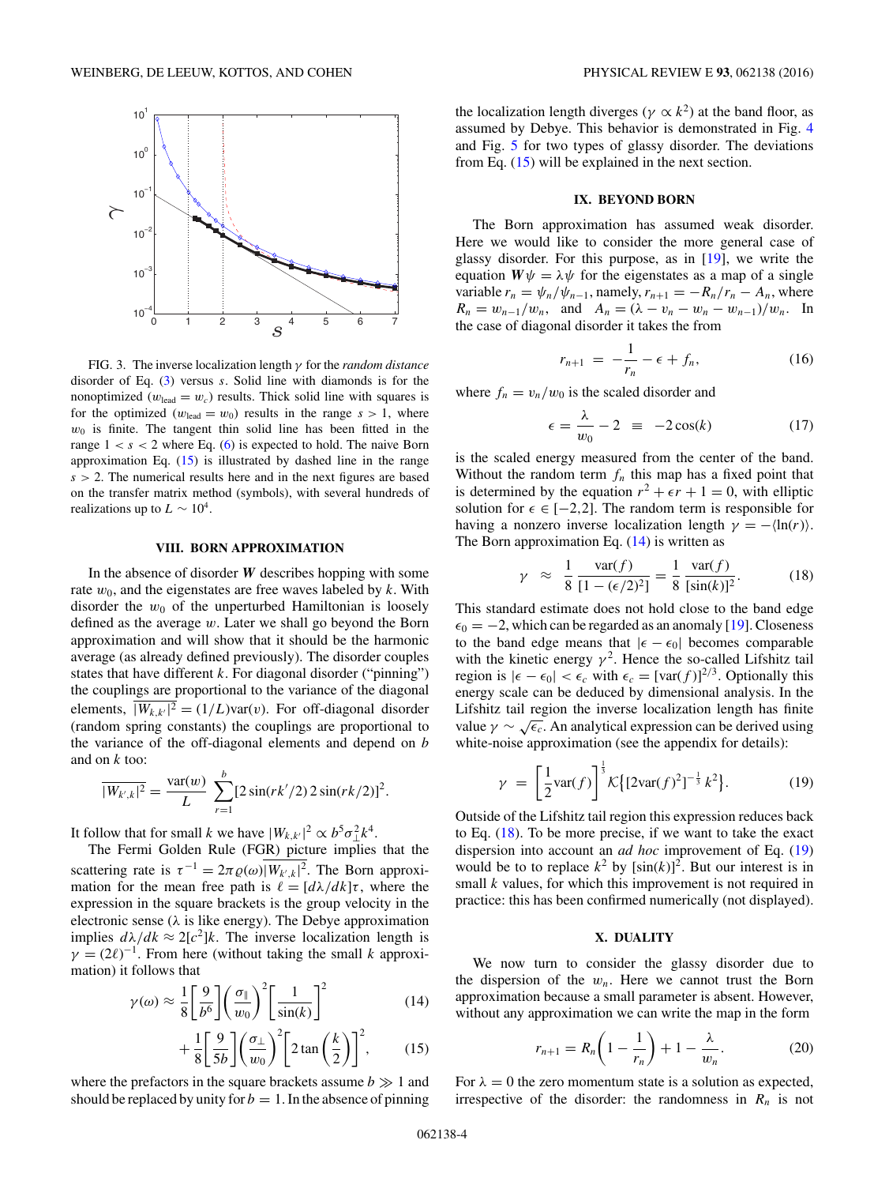<span id="page-3-0"></span>

FIG. 3. The inverse localization length *γ* for the *random distance* disorder of Eq. [\(3\)](#page-1-0) versus *s*. Solid line with diamonds is for the nonoptimized ( $w_{\text{lead}} = w_c$ ) results. Thick solid line with squares is for the optimized ( $w_{\text{lead}} = w_0$ ) results in the range  $s > 1$ , where  $w<sub>0</sub>$  is finite. The tangent thin solid line has been fitted in the range  $1 < s < 2$  where Eq. [\(6\)](#page-1-0) is expected to hold. The naive Born approximation Eq.  $(15)$  is illustrated by dashed line in the range  $s > 2$ . The numerical results here and in the next figures are based on the transfer matrix method (symbols), with several hundreds of realizations up to  $L \sim 10^4$ .

### **VIII. BORN APPROXIMATION**

In the absence of disorder *W* describes hopping with some rate  $w_0$ , and the eigenstates are free waves labeled by  $k$ . With disorder the  $w_0$  of the unperturbed Hamiltonian is loosely defined as the average *w*. Later we shall go beyond the Born approximation and will show that it should be the harmonic average (as already defined previously). The disorder couples states that have different *k*. For diagonal disorder ("pinning") the couplings are proportional to the variance of the diagonal elements,  $|W_{k,k'}|^2 = (1/L)\text{var}(v)$ . For off-diagonal disorder (random spring constants) the couplings are proportional to the variance of the off-diagonal elements and depend on *b* and on *k* too:

$$
\overline{|W_{k',k}|^2} = \frac{\text{var}(w)}{L} \sum_{r=1}^{b} [2\sin(rk'/2) \cdot 2\sin(rk/2)]^2.
$$

It follow that for small *k* we have  $|W_{k,k'}|^2 \propto b^5 \sigma_\perp^2 k^4$ .

The Fermi Golden Rule (FGR) picture implies that the scattering rate is  $\tau^{-1} = 2\pi \varrho(\omega) |W_{k',k}|^2$ . The Born approximation for the mean free path is  $\ell = [d\lambda/dk]\tau$ , where the expression in the square brackets is the group velocity in the electronic sense  $(\lambda)$  is like energy). The Debye approximation implies  $d\lambda/dk \approx 2[c^2]k$ . The inverse localization length is  $\gamma = (2\ell)^{-1}$ . From here (without taking the small *k* approximation) it follows that

$$
\gamma(\omega) \approx \frac{1}{8} \left[ \frac{9}{b^6} \right] \left( \frac{\sigma_{\parallel}}{w_0} \right)^2 \left[ \frac{1}{\sin(k)} \right]^2 \tag{14}
$$

$$
+\frac{1}{8}\left[\frac{9}{5b}\right]\left(\frac{\sigma_{\perp}}{w_0}\right)^2\left[2\tan\left(\frac{k}{2}\right)\right]^2,\qquad(15)
$$

where the prefactors in the square brackets assume  $b \gg 1$  and should be replaced by unity for  $b = 1$ . In the absence of pinning the localization length diverges ( $\gamma \propto k^2$ ) at the band floor, as assumed by Debye. This behavior is demonstrated in Fig. [4](#page-4-0) and Fig. [5](#page-4-0) for two types of glassy disorder. The deviations from Eq.  $(15)$  will be explained in the next section.

#### **IX. BEYOND BORN**

The Born approximation has assumed weak disorder. Here we would like to consider the more general case of glassy disorder. For this purpose, as in [\[19\]](#page-7-0), we write the equation  $W\psi = \lambda \psi$  for the eigenstates as a map of a single variable  $r_n = \psi_n / \psi_{n-1}$ , namely,  $r_{n+1} = -R_n / r_n - A_n$ , where  $R_n = w_{n-1}/w_n$ , and  $A_n = (\lambda - v_n - w_n - w_{n-1})/w_n$ . In the case of diagonal disorder it takes the from

$$
r_{n+1} = -\frac{1}{r_n} - \epsilon + f_n, \tag{16}
$$

where  $f_n = v_n/w_0$  is the scaled disorder and

$$
\epsilon = \frac{\lambda}{w_0} - 2 \equiv -2\cos(k) \tag{17}
$$

is the scaled energy measured from the center of the band. Without the random term  $f_n$  this map has a fixed point that is determined by the equation  $r^2 + \epsilon r + 1 = 0$ , with elliptic solution for  $\epsilon \in [-2,2]$ . The random term is responsible for having a nonzero inverse localization length  $\gamma = -\langle \ln(r) \rangle$ . The Born approximation Eq.  $(14)$  is written as

$$
\gamma \approx \frac{1}{8} \frac{\text{var}(f)}{[1 - (\epsilon/2)^2]} = \frac{1}{8} \frac{\text{var}(f)}{[\text{sin}(k)]^2}.
$$
 (18)

This standard estimate does not hold close to the band edge  $\epsilon_0 = -2$ , which can be regarded as an anomaly [\[19\]](#page-7-0). Closeness to the band edge means that  $|\epsilon - \epsilon_0|$  becomes comparable with the kinetic energy  $\gamma^2$ . Hence the so-called Lifshitz tail region is  $|\epsilon - \epsilon_0| < \epsilon_c$  with  $\epsilon_c = [\text{var}(f)]^{2/3}$ . Optionally this energy scale can be deduced by dimensional analysis. In the Lifshitz tail region the inverse localization length has finite value  $\gamma \sim \sqrt{\epsilon_c}$ . An analytical expression can be derived using white-noise approximation (see the appendix for details):

$$
\gamma = \left[\frac{1}{2}\text{var}(f)\right]^{\frac{1}{3}}\mathcal{K}\{[2\text{var}(f)^2]^{-\frac{1}{3}}k^2\}.
$$
 (19)

Outside of the Lifshitz tail region this expression reduces back to Eq. (18). To be more precise, if we want to take the exact dispersion into account an *ad hoc* improvement of Eq. (19) would be to to replace  $k^2$  by  $[\sin(k)]^2$ . But our interest is in small *k* values, for which this improvement is not required in practice: this has been confirmed numerically (not displayed).

## **X. DUALITY**

We now turn to consider the glassy disorder due to the dispersion of the  $w_n$ . Here we cannot trust the Born approximation because a small parameter is absent. However, without any approximation we can write the map in the form

$$
r_{n+1} = R_n \left( 1 - \frac{1}{r_n} \right) + 1 - \frac{\lambda}{w_n}.
$$
 (20)

For  $\lambda = 0$  the zero momentum state is a solution as expected, irrespective of the disorder: the randomness in  $R_n$  is not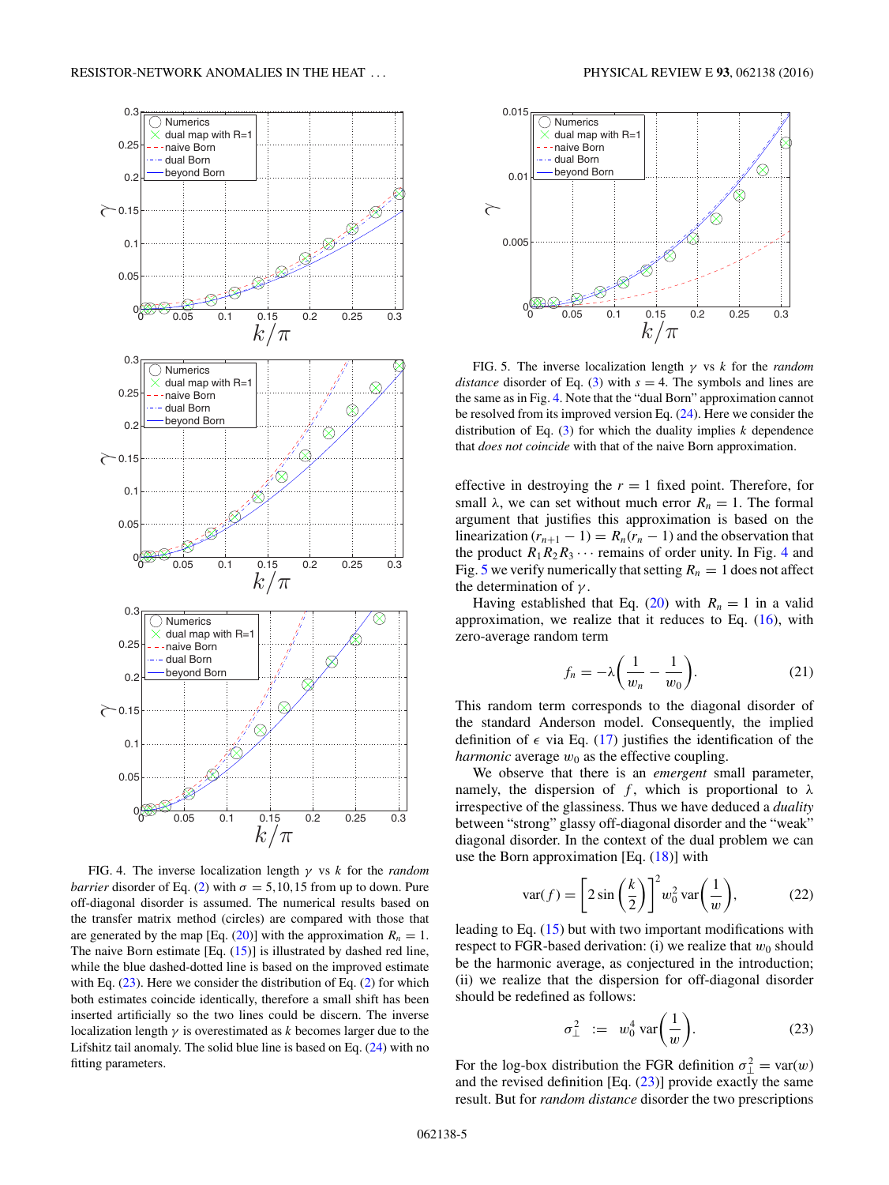<span id="page-4-0"></span>

*barrier* disorder of Eq. [\(2\)](#page-1-0) with  $\sigma = 5,10,15$  from up to down. Pure off-diagonal disorder is assumed. The numerical results based on the transfer matrix method (circles) are compared with those that are generated by the map [Eq.  $(20)$ ] with the approximation  $R_n = 1$ . The naive Born estimate  $[Eq. (15)]$  $[Eq. (15)]$  $[Eq. (15)]$  is illustrated by dashed red line, while the blue dashed-dotted line is based on the improved estimate with Eq.  $(23)$ . Here we consider the distribution of Eq.  $(2)$  for which both estimates coincide identically, therefore a small shift has been inserted artificially so the two lines could be discern. The inverse localization length *γ* is overestimated as *k* becomes larger due to the Lifshitz tail anomaly. The solid blue line is based on Eq. [\(24\)](#page-5-0) with no fitting parameters.



FIG. 5. The inverse localization length *γ* vs *k* for the *random distance* disorder of Eq. [\(3\)](#page-1-0) with  $s = 4$ . The symbols and lines are the same as in Fig. 4. Note that the "dual Born" approximation cannot be resolved from its improved version Eq. [\(24\)](#page-5-0). Here we consider the distribution of Eq.  $(3)$  for which the duality implies *k* dependence that *does not coincide* with that of the naive Born approximation.

effective in destroying the  $r = 1$  fixed point. Therefore, for small  $\lambda$ , we can set without much error  $R_n = 1$ . The formal argument that justifies this approximation is based on the linearization  $(r_{n+1} - 1) = R_n(r_n - 1)$  and the observation that the product  $R_1R_2R_3 \cdots$  remains of order unity. In Fig. 4 and Fig. 5 we verify numerically that setting  $R_n = 1$  does not affect the determination of *γ* .

Having established that Eq. [\(20\)](#page-3-0) with  $R_n = 1$  in a valid approximation, we realize that it reduces to Eq.  $(16)$ , with zero-average random term

$$
f_n = -\lambda \bigg( \frac{1}{w_n} - \frac{1}{w_0} \bigg). \tag{21}
$$

This random term corresponds to the diagonal disorder of the standard Anderson model. Consequently, the implied definition of  $\epsilon$  via Eq. [\(17\)](#page-3-0) justifies the identification of the *harmonic* average  $w_0$  as the effective coupling.

We observe that there is an *emergent* small parameter, namely, the dispersion of  $f$ , which is proportional to  $\lambda$ irrespective of the glassiness. Thus we have deduced a *duality* between "strong" glassy off-diagonal disorder and the "weak" diagonal disorder. In the context of the dual problem we can use the Born approximation [Eq. [\(18\)](#page-3-0)] with

$$
\text{var}(f) = \left[2\sin\left(\frac{k}{2}\right)\right]^2 w_0^2 \text{ var}\left(\frac{1}{w}\right),\tag{22}
$$

leading to Eq. [\(15\)](#page-3-0) but with two important modifications with respect to FGR-based derivation: (i) we realize that  $w_0$  should be the harmonic average, as conjectured in the introduction; (ii) we realize that the dispersion for off-diagonal disorder should be redefined as follows:

$$
\sigma_{\perp}^2 := w_0^4 \operatorname{var}\left(\frac{1}{w}\right). \tag{23}
$$

For the log-box distribution the FGR definition  $\sigma_{\perp}^2 = \text{var}(w)$ and the revised definition [Eq. (23)] provide exactly the same result. But for *random distance* disorder the two prescriptions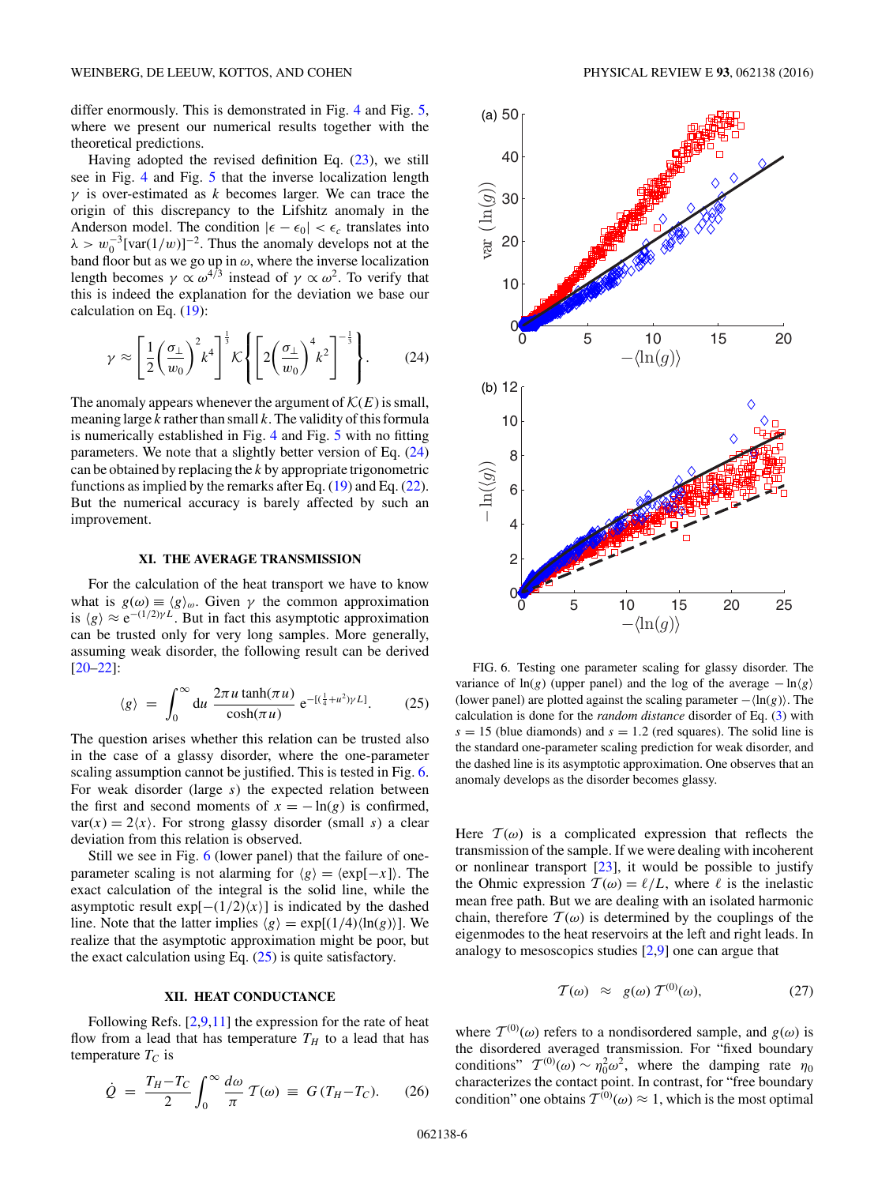<span id="page-5-0"></span>differ enormously. This is demonstrated in Fig. [4](#page-4-0) and Fig. [5,](#page-4-0) where we present our numerical results together with the theoretical predictions.

Having adopted the revised definition Eq.  $(23)$ , we still see in Fig. [4](#page-4-0) and Fig. [5](#page-4-0) that the inverse localization length *γ* is over-estimated as *k* becomes larger. We can trace the origin of this discrepancy to the Lifshitz anomaly in the Anderson model. The condition  $|\epsilon - \epsilon_0| < \epsilon_c$  translates into  $\lambda > w_0^{-3}$ [var(1*/w*)]<sup>-2</sup>. Thus the anomaly develops not at the band floor but as we go up in *ω*, where the inverse localization length becomes  $\gamma \propto \omega^{4/3}$  instead of  $\gamma \propto \omega^2$ . To verify that this is indeed the explanation for the deviation we base our calculation on Eq. [\(19\)](#page-3-0):

$$
\gamma \approx \left[\frac{1}{2} \left(\frac{\sigma_{\perp}}{w_0}\right)^2 k^4\right]^{\frac{1}{3}} \mathcal{K} \left\{ \left[2 \left(\frac{\sigma_{\perp}}{w_0}\right)^4 k^2\right]^{-\frac{1}{3}} \right\}.
$$
 (24)

The anomaly appears whenever the argument of  $\mathcal{K}(E)$  is small, meaning large *k* rather than small *k*. The validity of this formula is numerically established in Fig. [4](#page-4-0) and Fig. [5](#page-4-0) with no fitting parameters. We note that a slightly better version of Eq. (24) can be obtained by replacing the *k* by appropriate trigonometric functions as implied by the remarks after Eq.  $(19)$  and Eq.  $(22)$ . But the numerical accuracy is barely affected by such an improvement.

## **XI. THE AVERAGE TRANSMISSION**

For the calculation of the heat transport we have to know what is  $g(\omega) \equiv \langle g \rangle_{\omega}$ . Given  $\gamma$  the common approximation is  $\langle g \rangle \approx e^{-(1/2)\gamma L}$ . But in fact this asymptotic approximation can be trusted only for very long samples. More generally, assuming weak disorder, the following result can be derived [\[20–22\]](#page-8-0):

$$
\langle g \rangle = \int_0^\infty du \, \frac{2\pi u \tanh(\pi u)}{\cosh(\pi u)} \, e^{-[(\frac{1}{4} + u^2)\gamma L]}.\tag{25}
$$

The question arises whether this relation can be trusted also in the case of a glassy disorder, where the one-parameter scaling assumption cannot be justified. This is tested in Fig. 6. For weak disorder (large *s*) the expected relation between the first and second moments of  $x = -\ln(g)$  is confirmed,  $var(x) = 2\langle x \rangle$ . For strong glassy disorder (small *s*) a clear deviation from this relation is observed.

Still we see in Fig. 6 (lower panel) that the failure of oneparameter scaling is not alarming for  $\langle g \rangle = \langle \exp[-x] \rangle$ . The exact calculation of the integral is the solid line, while the asymptotic result  $exp[-(1/2)\langle x \rangle]$  is indicated by the dashed line. Note that the latter implies  $\langle g \rangle = \exp[(1/4)\langle \ln(g) \rangle]$ . We realize that the asymptotic approximation might be poor, but the exact calculation using Eq.  $(25)$  is quite satisfactory.

# **XII. HEAT CONDUCTANCE**

Following Refs.  $[2,9,11]$  the expression for the rate of heat flow from a lead that has temperature  $T_H$  to a lead that has temperature  $T_C$  is

$$
\dot{Q} = \frac{T_H - T_C}{2} \int_0^\infty \frac{d\omega}{\pi} \mathcal{T}(\omega) \equiv G (T_H - T_C). \tag{26}
$$



FIG. 6. Testing one parameter scaling for glassy disorder. The variance of  $\ln(g)$  (upper panel) and the log of the average  $-\ln\langle g \rangle$ (lower panel) are plotted against the scaling parameter − ln(*g*). The calculation is done for the *random distance* disorder of Eq. [\(3\)](#page-1-0) with  $s = 15$  (blue diamonds) and  $s = 1.2$  (red squares). The solid line is the standard one-parameter scaling prediction for weak disorder, and the dashed line is its asymptotic approximation. One observes that an anomaly develops as the disorder becomes glassy.

Here  $\mathcal{T}(\omega)$  is a complicated expression that reflects the transmission of the sample. If we were dealing with incoherent or nonlinear transport [\[23\]](#page-8-0), it would be possible to justify the Ohmic expression  $T(\omega) = \ell/L$ , where  $\ell$  is the inelastic mean free path. But we are dealing with an isolated harmonic chain, therefore  $T(\omega)$  is determined by the couplings of the eigenmodes to the heat reservoirs at the left and right leads. In analogy to mesoscopics studies [\[2,9\]](#page-7-0) one can argue that

$$
\mathcal{T}(\omega) \approx g(\omega) \mathcal{T}^{(0)}(\omega), \tag{27}
$$

where  $T^{(0)}(\omega)$  refers to a nondisordered sample, and  $g(\omega)$  is the disordered averaged transmission. For "fixed boundary conditions"  $T^{(0)}(\omega) \sim \eta_0^2 \omega^2$ , where the damping rate  $\eta_0$ characterizes the contact point. In contrast, for "free boundary condition" one obtains  $\mathcal{T}^{(0)}(\omega) \approx 1$ , which is the most optimal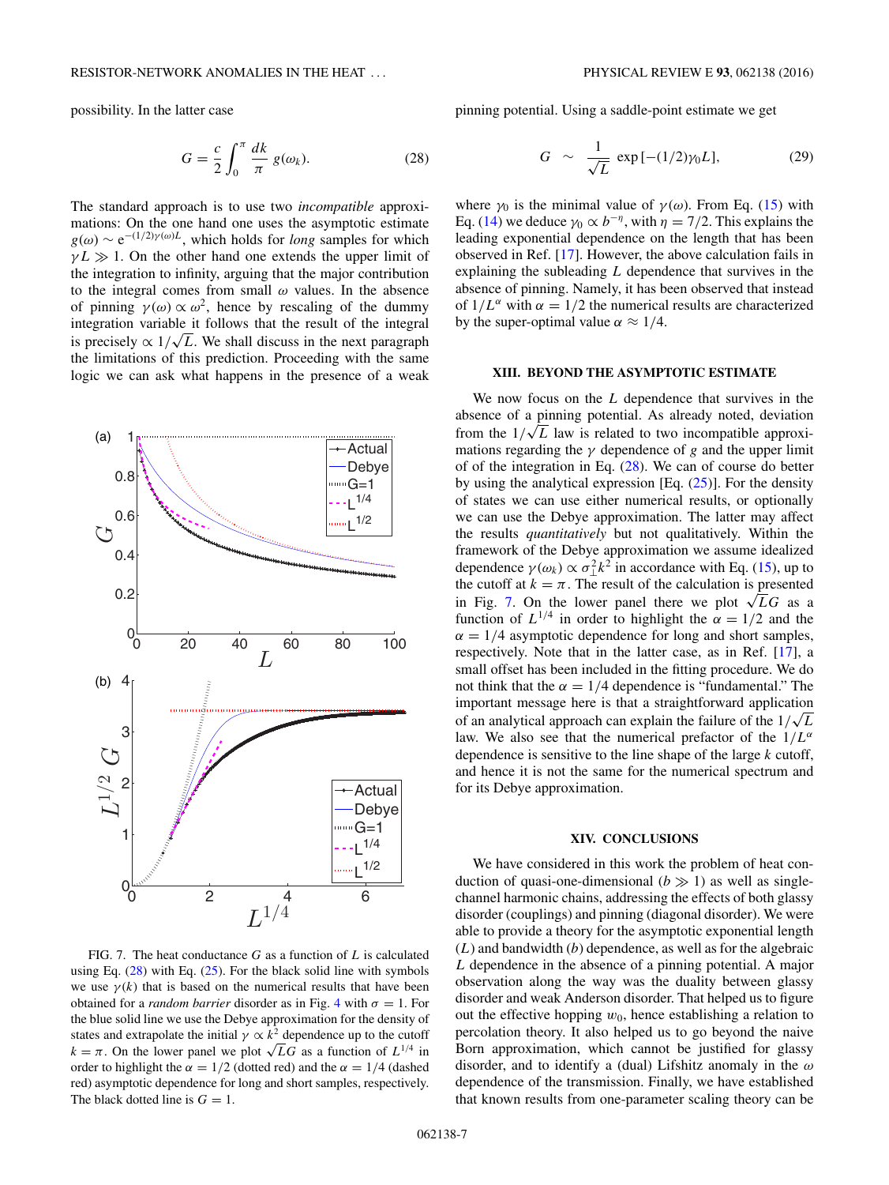<span id="page-6-0"></span>possibility. In the latter case

$$
G = \frac{c}{2} \int_0^\pi \frac{dk}{\pi} g(\omega_k). \tag{28}
$$

The standard approach is to use two *incompatible* approximations: On the one hand one uses the asymptotic estimate  $g(\omega) \sim e^{-(1/2)\gamma(\omega)L}$ , which holds for *long* samples for which  $\gamma L \gg 1$ . On the other hand one extends the upper limit of the integration to infinity, arguing that the major contribution to the integral comes from small *ω* values. In the absence of pinning  $\gamma(\omega) \propto \omega^2$ , hence by rescaling of the dummy integration variable it follows that the result of the integral integration variable it rollows that the result of the integral<br>is precisely  $\propto 1/\sqrt{L}$ . We shall discuss in the next paragraph the limitations of this prediction. Proceeding with the same logic we can ask what happens in the presence of a weak



FIG. 7. The heat conductance *G* as a function of *L* is calculated using Eq.  $(28)$  with Eq.  $(25)$ . For the black solid line with symbols we use  $\gamma(k)$  that is based on the numerical results that have been obtained for a *random barrier* disorder as in Fig. [4](#page-4-0) with  $\sigma = 1$ . For the blue solid line we use the Debye approximation for the density of states and extrapolate the initial  $\gamma \propto k^2$  dependence up to the cutoff  $k = \pi$ . On the lower panel we plot  $\sqrt{L}G$  as a function of  $L^{1/4}$  in order to highlight the  $\alpha = 1/2$  (dotted red) and the  $\alpha = 1/4$  (dashed red) asymptotic dependence for long and short samples, respectively. The black dotted line is  $G = 1$ .

pinning potential. Using a saddle-point estimate we get

$$
G \sim \frac{1}{\sqrt{L}} \exp[-(1/2)\gamma_0 L], \qquad (29)
$$

where  $\gamma_0$  is the minimal value of  $\gamma(\omega)$ . From Eq. [\(15\)](#page-3-0) with Eq. [\(14\)](#page-3-0) we deduce  $\gamma_0 \propto b^{-\eta}$ , with  $\eta = 7/2$ . This explains the leading exponential dependence on the length that has been observed in Ref. [\[17\]](#page-7-0). However, the above calculation fails in explaining the subleading *L* dependence that survives in the absence of pinning. Namely, it has been observed that instead of  $1/L^{\alpha}$  with  $\alpha = 1/2$  the numerical results are characterized by the super-optimal value  $\alpha \approx 1/4$ .

# **XIII. BEYOND THE ASYMPTOTIC ESTIMATE**

We now focus on the *L* dependence that survives in the absence of a pinning potential. As already noted, deviation absence of a pinning potential. As already noted, deviation from the  $1/\sqrt{L}$  law is related to two incompatible approximations regarding the *γ* dependence of *g* and the upper limit of of the integration in Eq. (28). We can of course do better by using the analytical expression [Eq.  $(25)$ ]. For the density of states we can use either numerical results, or optionally we can use the Debye approximation. The latter may affect the results *quantitatively* but not qualitatively. Within the framework of the Debye approximation we assume idealized dependence  $\gamma(\omega_k) \propto \sigma_{\perp}^2 k^2$  in accordance with Eq. [\(15\)](#page-3-0), up to the cutoff at  $k = \pi$ . The result of the calculation is presented in Fig. 7. On the lower panel there we plot  $\sqrt{LG}$  as a function of  $L^{1/4}$  in order to highlight the  $\alpha = 1/2$  and the  $\alpha = 1/4$  asymptotic dependence for long and short samples, respectively. Note that in the latter case, as in Ref. [\[17\]](#page-7-0), a small offset has been included in the fitting procedure. We do not think that the  $\alpha = 1/4$  dependence is "fundamental." The important message here is that a straightforward application miportant message nere is that a straightforward approation<br>of an analytical approach can explain the failure of the  $1/\sqrt{L}$ law. We also see that the numerical prefactor of the  $1/L^{\alpha}$ dependence is sensitive to the line shape of the large *k* cutoff, and hence it is not the same for the numerical spectrum and for its Debye approximation.

### **XIV. CONCLUSIONS**

We have considered in this work the problem of heat conduction of quasi-one-dimensional  $(b \gg 1)$  as well as singlechannel harmonic chains, addressing the effects of both glassy disorder (couplings) and pinning (diagonal disorder). We were able to provide a theory for the asymptotic exponential length (*L*) and bandwidth (*b*) dependence, as well as for the algebraic *L* dependence in the absence of a pinning potential. A major observation along the way was the duality between glassy disorder and weak Anderson disorder. That helped us to figure out the effective hopping  $w_0$ , hence establishing a relation to percolation theory. It also helped us to go beyond the naive Born approximation, which cannot be justified for glassy disorder, and to identify a (dual) Lifshitz anomaly in the *ω* dependence of the transmission. Finally, we have established that known results from one-parameter scaling theory can be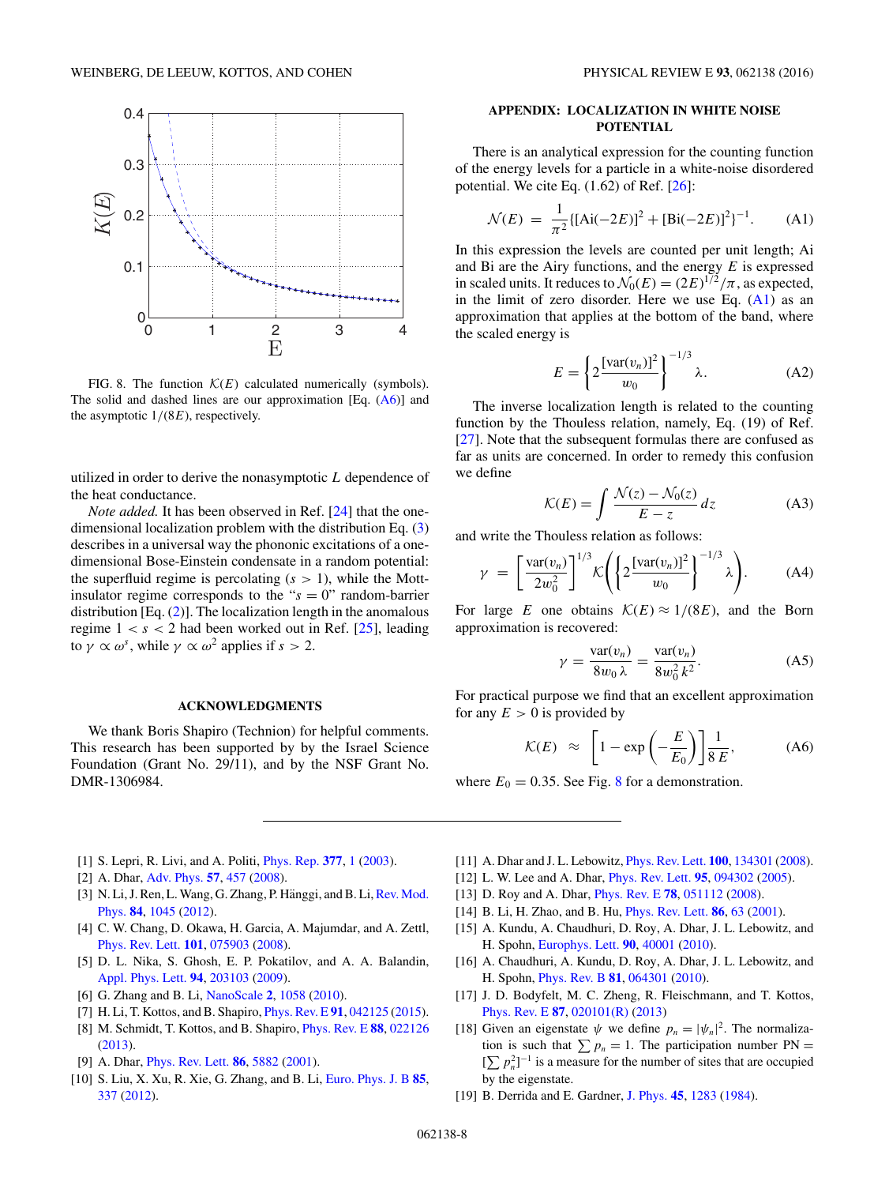<span id="page-7-0"></span>

FIG. 8. The function  $\mathcal{K}(E)$  calculated numerically (symbols). The solid and dashed lines are our approximation  $[Eq. (A6)]$  and the asymptotic 1*/*(8*E*), respectively.

utilized in order to derive the nonasymptotic *L* dependence of the heat conductance.

*Note added.* It has been observed in Ref. [\[24\]](#page-8-0) that the onedimensional localization problem with the distribution Eq. [\(3\)](#page-1-0) describes in a universal way the phononic excitations of a onedimensional Bose-Einstein condensate in a random potential: the superfluid regime is percolating  $(s > 1)$ , while the Mottinsulator regime corresponds to the " $s = 0$ " random-barrier distribution  $[Eq. (2)]$  $[Eq. (2)]$  $[Eq. (2)]$ . The localization length in the anomalous regime  $1 < s < 2$  had been worked out in Ref. [\[25\]](#page-8-0), leading to  $\gamma \propto \omega^s$ , while  $\gamma \propto \omega^2$  applies if  $s > 2$ .

#### **ACKNOWLEDGMENTS**

We thank Boris Shapiro (Technion) for helpful comments. This research has been supported by by the Israel Science Foundation (Grant No. 29/11), and by the NSF Grant No. DMR-1306984.

# **APPENDIX: LOCALIZATION IN WHITE NOISE POTENTIAL**

There is an analytical expression for the counting function of the energy levels for a particle in a white-noise disordered potential. We cite Eq. (1.62) of Ref. [\[26\]](#page-8-0):

$$
\mathcal{N}(E) = \frac{1}{\pi^2} \{ [\text{Ai}(-2E)]^2 + [\text{Bi}(-2E)]^2 \}^{-1}.
$$
 (A1)

In this expression the levels are counted per unit length; Ai and Bi are the Airy functions, and the energy *E* is expressed in scaled units. It reduces to  $\mathcal{N}_0(E) = (2E)^{1/2}/\pi$ , as expected, in the limit of zero disorder. Here we use Eq.  $(A1)$  as an approximation that applies at the bottom of the band, where the scaled energy is

$$
E = \left\{ 2 \frac{\left[ \text{var}(v_n) \right]^2}{w_0} \right\}^{-1/3} \lambda. \tag{A2}
$$

The inverse localization length is related to the counting function by the Thouless relation, namely, Eq. (19) of Ref. [\[27\]](#page-8-0). Note that the subsequent formulas there are confused as far as units are concerned. In order to remedy this confusion we define

$$
\mathcal{K}(E) = \int \frac{\mathcal{N}(z) - \mathcal{N}_0(z)}{E - z} dz
$$
 (A3)

and write the Thouless relation as follows:

$$
\gamma = \left[\frac{\text{var}(v_n)}{2w_0^2}\right]^{1/3} \mathcal{K}\left(\left\{2\frac{\left[\text{var}(v_n)\right]^2}{w_0}\right\}^{-1/3}\lambda\right). \tag{A4}
$$

For large *E* one obtains  $\mathcal{K}(E) \approx 1/(8E)$ , and the Born approximation is recovered:

$$
\gamma = \frac{\text{var}(v_n)}{8w_0 \lambda} = \frac{\text{var}(v_n)}{8w_0^2 k^2}.
$$
 (A5)

For practical purpose we find that an excellent approximation for any  $E > 0$  is provided by

$$
\mathcal{K}(E) \approx \left[1 - \exp\left(-\frac{E}{E_0}\right)\right] \frac{1}{8 E}, \quad \text{(A6)}
$$

where  $E_0 = 0.35$ . See Fig. 8 for a demonstration.

- [1] S. Lepri, R. Livi, and A. Politi, [Phys. Rep.](http://dx.doi.org/10.1016/S0370-1573(02)00558-6) **[377](http://dx.doi.org/10.1016/S0370-1573(02)00558-6)**, [1](http://dx.doi.org/10.1016/S0370-1573(02)00558-6) [\(2003\)](http://dx.doi.org/10.1016/S0370-1573(02)00558-6).
- [2] A. Dhar, [Adv. Phys.](http://dx.doi.org/10.1080/00018730802538522) **[57](http://dx.doi.org/10.1080/00018730802538522)**, [457](http://dx.doi.org/10.1080/00018730802538522) [\(2008\)](http://dx.doi.org/10.1080/00018730802538522).
- [3] N. Li, J. Ren, L. Wang, G. Zhang, P. Hänggi, and B. Li, Rev. Mod. Phys. **[84](http://dx.doi.org/10.1103/RevModPhys.84.1045)**, [1045](http://dx.doi.org/10.1103/RevModPhys.84.1045) [\(2012\)](http://dx.doi.org/10.1103/RevModPhys.84.1045).
- [4] C. W. Chang, D. Okawa, H. Garcia, A. Majumdar, and A. Zettl, [Phys. Rev. Lett.](http://dx.doi.org/10.1103/PhysRevLett.101.075903) **[101](http://dx.doi.org/10.1103/PhysRevLett.101.075903)**, [075903](http://dx.doi.org/10.1103/PhysRevLett.101.075903) [\(2008\)](http://dx.doi.org/10.1103/PhysRevLett.101.075903).
- [5] D. L. Nika, S. Ghosh, E. P. Pokatilov, and A. A. Balandin, [Appl. Phys. Lett.](http://dx.doi.org/10.1063/1.3136860) **[94](http://dx.doi.org/10.1063/1.3136860)**, [203103](http://dx.doi.org/10.1063/1.3136860) [\(2009\)](http://dx.doi.org/10.1063/1.3136860).
- [6] G. Zhang and B. Li, [NanoScale](http://dx.doi.org/10.1039/c0nr00095g) **[2](http://dx.doi.org/10.1039/c0nr00095g)**, [1058](http://dx.doi.org/10.1039/c0nr00095g) [\(2010\)](http://dx.doi.org/10.1039/c0nr00095g).
- [7] H. Li, T. Kottos, and B. Shapiro, [Phys. Rev. E](http://dx.doi.org/10.1103/PhysRevE.91.042125) **[91](http://dx.doi.org/10.1103/PhysRevE.91.042125)**, [042125](http://dx.doi.org/10.1103/PhysRevE.91.042125) [\(2015\)](http://dx.doi.org/10.1103/PhysRevE.91.042125).
- [8] M. Schmidt, T. Kottos, and B. Shapiro, [Phys. Rev. E](http://dx.doi.org/10.1103/PhysRevE.88.022126) **[88](http://dx.doi.org/10.1103/PhysRevE.88.022126)**, [022126](http://dx.doi.org/10.1103/PhysRevE.88.022126) [\(2013\)](http://dx.doi.org/10.1103/PhysRevE.88.022126).
- [9] A. Dhar, [Phys. Rev. Lett.](http://dx.doi.org/10.1103/PhysRevLett.86.5882) **[86](http://dx.doi.org/10.1103/PhysRevLett.86.5882)**, [5882](http://dx.doi.org/10.1103/PhysRevLett.86.5882) [\(2001\)](http://dx.doi.org/10.1103/PhysRevLett.86.5882).
- [10] S. Liu, X. Xu, R. Xie, G. Zhang, and B. Li, [Euro. Phys. J. B](http://dx.doi.org/10.1140/epjb/e2012-30383-8) **[85](http://dx.doi.org/10.1140/epjb/e2012-30383-8)**, [337](http://dx.doi.org/10.1140/epjb/e2012-30383-8) [\(2012\)](http://dx.doi.org/10.1140/epjb/e2012-30383-8).
- [11] A. Dhar and J. L. Lebowitz, [Phys. Rev. Lett.](http://dx.doi.org/10.1103/PhysRevLett.100.134301) **[100](http://dx.doi.org/10.1103/PhysRevLett.100.134301)**, [134301](http://dx.doi.org/10.1103/PhysRevLett.100.134301) [\(2008\)](http://dx.doi.org/10.1103/PhysRevLett.100.134301).
- [12] L. W. Lee and A. Dhar, [Phys. Rev. Lett.](http://dx.doi.org/10.1103/PhysRevLett.95.094302) **[95](http://dx.doi.org/10.1103/PhysRevLett.95.094302)**, [094302](http://dx.doi.org/10.1103/PhysRevLett.95.094302) [\(2005\)](http://dx.doi.org/10.1103/PhysRevLett.95.094302).
- [13] D. Roy and A. Dhar, [Phys. Rev. E](http://dx.doi.org/10.1103/PhysRevE.78.051112) **[78](http://dx.doi.org/10.1103/PhysRevE.78.051112)**, [051112](http://dx.doi.org/10.1103/PhysRevE.78.051112) [\(2008\)](http://dx.doi.org/10.1103/PhysRevE.78.051112).
- [14] B. Li, H. Zhao, and B. Hu, [Phys. Rev. Lett.](http://dx.doi.org/10.1103/PhysRevLett.86.63) **[86](http://dx.doi.org/10.1103/PhysRevLett.86.63)**, [63](http://dx.doi.org/10.1103/PhysRevLett.86.63) [\(2001\)](http://dx.doi.org/10.1103/PhysRevLett.86.63).
- [15] A. Kundu, A. Chaudhuri, D. Roy, A. Dhar, J. L. Lebowitz, and H. Spohn, [Europhys. Lett.](http://dx.doi.org/10.1209/0295-5075/90/40001) **[90](http://dx.doi.org/10.1209/0295-5075/90/40001)**, [40001](http://dx.doi.org/10.1209/0295-5075/90/40001) [\(2010\)](http://dx.doi.org/10.1209/0295-5075/90/40001).
- [16] A. Chaudhuri, A. Kundu, D. Roy, A. Dhar, J. L. Lebowitz, and H. Spohn, [Phys. Rev. B](http://dx.doi.org/10.1103/PhysRevB.81.064301) **[81](http://dx.doi.org/10.1103/PhysRevB.81.064301)**, [064301](http://dx.doi.org/10.1103/PhysRevB.81.064301) [\(2010\)](http://dx.doi.org/10.1103/PhysRevB.81.064301).
- [17] J. D. Bodyfelt, M. C. Zheng, R. Fleischmann, and T. Kottos, [Phys. Rev. E](http://dx.doi.org/10.1103/PhysRevE.87.020101) **[87](http://dx.doi.org/10.1103/PhysRevE.87.020101)**, [020101\(R\)](http://dx.doi.org/10.1103/PhysRevE.87.020101) [\(2013\)](http://dx.doi.org/10.1103/PhysRevE.87.020101)
- [18] Given an eigenstate  $\psi$  we define  $p_n = |\psi_n|^2$ . The normalization is such that  $\sum p_n = 1$ . The participation number PN =  $[\sum p_n^2]^{-1}$  is a measure for the number of sites that are occupied by the eigenstate.
- [19] B. Derrida and E. Gardner, [J. Phys.](http://dx.doi.org/10.1051/jphys:019840045080128300) **[45](http://dx.doi.org/10.1051/jphys:019840045080128300)**, [1283](http://dx.doi.org/10.1051/jphys:019840045080128300) [\(1984\)](http://dx.doi.org/10.1051/jphys:019840045080128300).